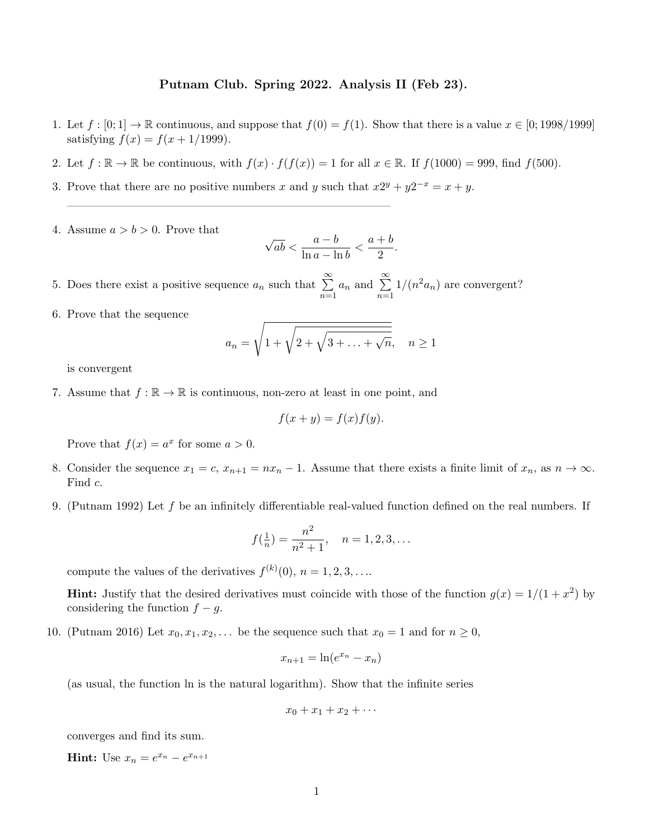## Putnam Club. Spring 2022. Analysis II (Feb 23).

- 1. Let  $f : [0; 1] \to \mathbb{R}$  continuous, and suppose that  $f(0) = f(1)$ . Show that there is a value  $x \in [0; 1998/1999]$ satisfying  $f(x) = f(x + 1/1999)$ .
- 2. Let  $f : \mathbb{R} \to \mathbb{R}$  be continuous, with  $f(x) \cdot f(f(x)) = 1$  for all  $x \in \mathbb{R}$ . If  $f(1000) = 999$ , find  $f(500)$ .
- 3. Prove that there are no positive numbers x and y such that  $x2^y + y2^{-x} = x + y$ .

————————————————————————————

4. Assume  $a > b > 0$ . Prove that

$$
\sqrt{ab} < \frac{a-b}{\ln a - \ln b} < \frac{a+b}{2}.
$$

5. Does there exist a positive sequence  $a_n$  such that  $\sum_{n=1}^{\infty} a_n$  $n=1$  $a_n$  and  $\sum_{n=1}^{\infty}$  $n=1$  $1/(n^2 a_n)$  are convergent?

6. Prove that the sequence

$$
a_n = \sqrt{1 + \sqrt{2 + \sqrt{3 + \dots + \sqrt{n}}}}, \quad n \ge 1
$$

is convergent

7. Assume that  $f : \mathbb{R} \to \mathbb{R}$  is continuous, non-zero at least in one point, and

$$
f(x + y) = f(x)f(y).
$$

Prove that  $f(x) = a^x$  for some  $a > 0$ .

- 8. Consider the sequence  $x_1 = c$ ,  $x_{n+1} = nx_n 1$ . Assume that there exists a finite limit of  $x_n$ , as  $n \to \infty$ . Find  $c$ .
- 9. (Putnam 1992) Let f be an infinitely differentiable real-valued function defined on the real numbers. If

$$
f(\frac{1}{n}) = \frac{n^2}{n^2 + 1}, \quad n = 1, 2, 3, \dots
$$

compute the values of the derivatives  $f^{(k)}(0), n = 1, 2, 3, \ldots$ 

**Hint:** Justify that the desired derivatives must coincide with those of the function  $g(x) = 1/(1 + x^2)$  by considering the function  $f - g$ .

10. (Putnam 2016) Let  $x_0, x_1, x_2, \ldots$  be the sequence such that  $x_0 = 1$  and for  $n \ge 0$ ,

$$
x_{n+1} = \ln(e^{x_n} - x_n)
$$

(as usual, the function ln is the natural logarithm). Show that the infinite series

$$
x_0+x_1+x_2+\cdots
$$

converges and find its sum.

**Hint:** Use  $x_n = e^{x_n} - e^{x_{n+1}}$